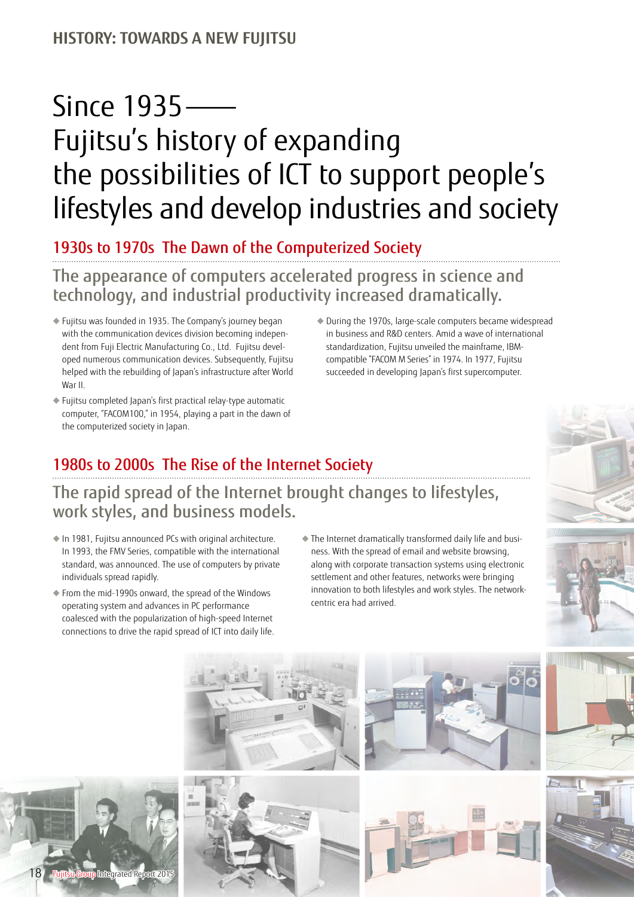#### **HISTORY: TOWARDS A NEW FUJITSU**

# Since 1935 — Fujitsu's history of expanding the possibilities of ICT to support people's lifestyles and develop industries and society

### 1930s to 1970s The Dawn of the Computerized Society

## The appearance of computers accelerated progress in science and technology, and industrial productivity increased dramatically.

- ◆ Fujitsu was founded in 1935. The Company's journey began with the communication devices division becoming independent from Fuji Electric Manufacturing Co., Ltd. Fujitsu developed numerous communication devices. Subsequently, Fujitsu helped with the rebuilding of Japan's infrastructure after World War II.
- ◆ Fujitsu completed Japan's first practical relay-type automatic computer, "FACOM100," in 1954, playing a part in the dawn of the computerized society in Japan.
- ◆ During the 1970s, large-scale computers became widespread in business and R&D centers. Amid a wave of international standardization, Fujitsu unveiled the mainframe, IBMcompatible "FACOM M Series" in 1974. In 1977, Fujitsu succeeded in developing Japan's first supercomputer.

## 1980s to 2000s The Rise of the Internet Society

#### The rapid spread of the Internet brought changes to lifestyles, work styles, and business models.

- ◆ In 1981, Fujitsu announced PCs with original architecture. In 1993, the FMV Series, compatible with the international standard, was announced. The use of computers by private individuals spread rapidly.
- ◆ From the mid-1990s onward, the spread of the Windows operating system and advances in PC performance coalesced with the popularization of high-speed Internet connections to drive the rapid spread of ICT into daily life.
- ◆ The Internet dramatically transformed daily life and business. With the spread of email and website browsing, along with corporate transaction systems using electronic settlement and other features, networks were bringing innovation to both lifestyles and work styles. The networkcentric era had arrived.